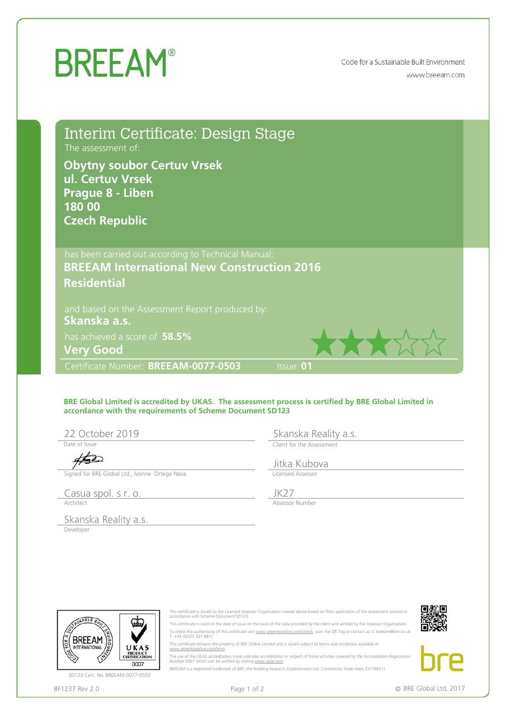## **BREEAM®**

Code for a Sustainable Built Environment www.breeam.com

Interim Certificate: Design Stage The assessment of:

**Obytny soubor Certuv Vrsek<br>
Prague 8 - Liben<br>
Prague 8 - Liben<br>
Czech Republic<br>
Czech Republic<br>
has been carried out according to Technical Manual:<br>
BREEAM International New Construction 2016<br>
Residential<br>
and based on th** 

has achieved a score of **58.5%**

Certificate Number: BREEAM-0077-0503 Sisue: 01

## **BRE Global Limited is accredited by UKAS. The assessment process is certified by BRE Global Limited in accordance with the requirements of Scheme Document SD123** Residential<br>
Shamske a.s.<br>
Shamske a.s.<br>
Shamske Rev 3.0 BREEAM-0077-0503 ISSUe: 01<br>
Certificate Runnber: BREEAM-0077-0503 ISSUe: 01<br>
Shamske Global Limited In<br>
accordance with the requirements of Scheme Document SD123<br>
Sk

Date of Issue

This certificate is issued to the Licensed Assessor Organisation named above based on their application of the assessment process in

This certificate is valid on the date of issue on the basis of the data provided by the client and verified by the Assessor Organisation. To check the authenticity of this certificate visit <u>www.greenbooklive.com/check</u>, scan the QR Tag or contact us: E: breeam@bre.co.uk<br>T. +44 (0)333 321 8811

The use of the UKAS accreditation mark indicates accreditation in respect of those activities covered by the Accreditation Registration

This certificate remains the property of BRE Global Limited and is issued subject to terms and conditions available at

BREEAM is a registered trademark of BRE (the Building Research Establishment Ltd. Community Trade Mark E5778551)



SD123 Cert. No. BREEAM-0077-0503



Number 0007 which can be verified by visiting www.ukas.com

accordance with Scheme Document SD123.

www.greenbooklive.com/term .